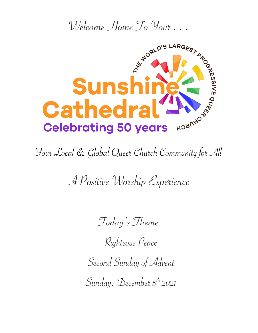

Your Local & Global Queer Church Community for All

A Positive Worship Experience

Today's Theme

Righteous Peace

Second Sunday of Advent

Sunday, December 5<sup>th</sup> 2021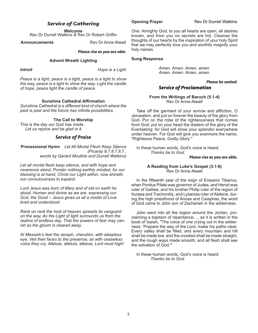#### *Service of Gathering*

**Welcome**

Rev Dr Durrell Watkins & Rev Dr Robert Griffin

**Announcements** Rev Dr Anne Atwell

#### *Please rise as you are able.*

#### **Advent Wreath Lighting**

*Introit Hope is a Light* 

*Peace is a light, peace is a light, peace is a light to show the way, peace is a light to show the way. Light the candle of hope, peace light the candle of peace.*

#### **Sunshine Cathedral Affirmation**

*Sunshine Cathedral is a different kind of church where the past is past and the future has infinite possibilities.*

**The Call to Worship**

This is the day our God has made. *Let us rejoice and be glad in it.*

#### *Service of Praise*

**Processional Hymn** *Let All Mortal Flesh Keep Silence (Picardy 8.7.8.7.8.7., words by Gerard Moultrie and Durrell Watkins)*

*Let all mortal flesh keep silence, and with hope and reverence stand, Ponder nothing earthly minded, for our blessing is at hand, Christ our Light within, now shineth, our consciousness to expand.*

*Lord Jesus was born of Mary and of old on earth he stood, Human and divine as we are, expressing our God, the Good – Jesus gives us all a model of Love lived and understood.*

*Rank on rank the host of heaven spreads its vanguard on the way, As the Light of light surrounds us from the realms of endless day, That the powers of fear may vanish as the gloom is cleared away.*

*At Messiah's feet the seraph, cherubim, with sleepless eye, Veil their faces to the presence, as with ceaseless voice they cry, Alleluia, alleluia, alleluia, Lord most high!*

**Opening Prayer**  Rev Dr Durrell Watkins

*One:* Almighty God, to you all hearts are open, all desires known, and from you no secrets are hid. Cleanse the thoughts of our hearts by the inspiration of your holy Spirit that we may perfectly love you and worthily magnify your holy names.

#### **Sung Response**

*Amen. Amen. Amen, amen. Amen. Amen. Amen, amen.*

*Please be seated.*

#### *Service of Proclamation*

#### **From the Writings of Baruch (5.1-4)**  Rev Dr Anne Atwell

Take off the garment of your sorrow and affliction, O Jerusalem, and put on forever the beauty of the glory from God. Put on the robe of the righteousness that comes from God; put on your head the diadem of the glory of the Everlasting; for God will show your splendor everywhere under heaven. For God will give you evermore the name, "Righteous Peace, Godly Glory."

In these human words, God's voice is heard. *Thanks be to God.*

*Please rise as you are able.*

#### **A Reading from Luke's Gospel (3.1-6)** Rev Dr Anne Atwell

In the fifteenth year of the reign of Emperor Tiberius, when Pontius Pilate was governor of Judea, and Herod was ruler of Galilee, and his brother Philip ruler of the region of Ituraea and Trachonitis, and Lysanias ruler of Abilene, during the high priesthood of Annas and Caiaphas, the word of God came to John son of Zechariah in the wilderness.

John went into all the region around the Jordan, proclaiming a baptism of repentance…, as it is written in the book of Isaiah, "The voice of one crying out in the wilderness: 'Prepare the way of the Lord, make his paths clear. Every valley shall be filled, and every mountain and hill shall be made low, and the crooked shall be made straight, and the rough ways made smooth; and all flesh shall see the salvation of God.'"

In these human words, God's voice is heard. *Thanks be to God.*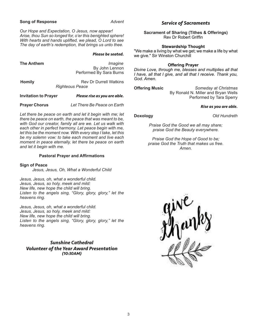#### **Song of Response** *Advent*

*Our Hope and Expectation, O Jesus, now appear! Arise, thou Sun so longed for, o'er this benighted sphere! With hearts and hands uplifted, we plead, O Lord to see The day of earth's redemption, that brings us unto thee.*

#### *Please be seated.*

| Please rise as you are able.                            |
|---------------------------------------------------------|
| <b>Rev Dr Durrell Watkins</b><br><b>Righteous Peace</b> |
| Imagine<br>By John Lennon<br>Performed By Sara Burns    |
| <b>Invitation to Prayer</b>                             |

**Prayer Chorus** *Let There Be Peace on Earth*

Let there be peace on earth and let it begin with me; let *there be peace on earth, the peace that was meant to be, with God our creator, family all are we. Let us walk with each other in perfect harmony. Let peace begin with me, let this be the moment now. With every step I take, let this be my solemn vow: to take each moment and live each moment in peace eternally, let there be peace on earth and let it begin with me.*

#### **Pastoral Prayer and Affirmations**

#### **Sign of Peace**

*Jesus, Jesus, Oh, What a Wonderful Child* 

*Jesus, Jesus, oh, what a wonderful child. Jesus, Jesus, so holy, meek and mild: New life, new hope the child will bring. Listen to the angels sing, "Glory, glory, glory," let the heavens ring.*

*Jesus, Jesus, oh, what a wonderful child. Jesus, Jesus, so holy, meek and mild: New life, new hope the child will bring. Listen to the angels sing, "Glory, glory, glory," let the heavens ring.*

*Sunshine Cathedral Volunteer of the Year Award Presentation (10:30AM)*

#### *Service of Sacraments*

**Sacrament of Sharing (Tithes & Offerings)** Rev Dr Robert Griffin

#### **Stewardship Thought**

"We make a living by what we get; we make a life by what we give." Sir Winston Churchill

#### **Offering Prayer**

*Divine Love, through me, blesses and multiplies all that I have, all that I give, and all that I receive. Thank you, God. Amen.*

**Offering Music** *Someday at Christmas* By Ronald N. Miller and Bryan Wells Performed by Tara Sperry

#### *Rise as you are able.*

**Doxology** *Old Hundreth*

*Praise God the Good we all may share; praise God the Beauty everywhere.*

*Praise God the Hope of Good to be; praise God the Truth that makes us free. Amen.*

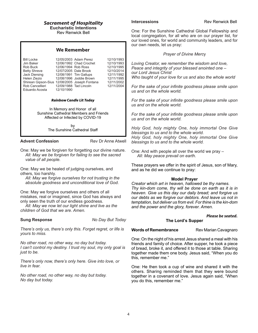#### *Sacrament of Hospitality* **Eucharistic Intentions**

Rev Renwick Bell

#### **We Remember**

| <b>Bill Locke</b>                             |                     | 12/05/2003 Adam Perez   | 12/10/1993 |
|-----------------------------------------------|---------------------|-------------------------|------------|
| Jim Baker                                     |                     | 12/06/1992 Chad Crochet | 12/10/1993 |
| Rob Buck                                      | 12/06/1994 Rob Ross |                         | 12/10/1995 |
| <b>Betty Shreve</b>                           |                     | 12/07/2005 Dale Brook   | 12/10/2014 |
| Jack Diersing                                 |                     | 12/08/1991 Tim Gallups  | 12/11/1992 |
| Helen Ziezio                                  |                     | 12/08/1996 Joddie Brown | 12/11/1995 |
| Shirean Gipson-Sius 12/08/2005 Joseph Fontana |                     |                         | 12/11/2002 |
| Rob Cancellieri                               |                     | 12/09/1988 Tad Lincoln  | 12/11/2004 |
| Eduardo Acosta                                | 12/10/1990          |                         |            |

#### *Rainbow Candle Lit Today*

In Memory and Honor of all Sunshine Cathedral Members and Friends Affected or Infected by COVID-19

> by The Sunshine Cathedral Staff

**Advent Confession** Rev Dr Anne Atwell

One: May we be forgiven for forgetting our divine nature. *All: May we be forgiven for failing to see the sacred value of all people.*

One: May we be healed of judging ourselves, and others, too harshly.

*All: May we forgive ourselves for not trusting in the absolute goodness and unconditional love of God.*

One: May we forgive ourselves and others of all mistakes, real or imagined, since God has always and only seen the truth of our endless goodness.

*All: May we now let our light shine and live as the children of God that we are. Amen.*

**Sung Response** *No Day But Today*

*There's only us, there's only this. Forget regret, or life is yours to miss.*

*No other road, no other way, no day but today. I can't control my destiny. I trust my soul, my only goal is just to be.*

*There's only now, there's only here. Give into love, or live in fear.*

*No other road, no other way, no day but today. No day but today.*

**Intercessions** Rev Renwick Bell

One: For the Sunshine Cathedral Global Fellowship and local congregation, for all who are on our prayer list, for our loved ones, for world and community leaders, and for our own needs, let us pray:

*Prayer of Divine Merc*y

*Loving Creator, we remember the wisdom and love, Peace and integrity of your blessed anointed one – our Lord Jesus Christ Who taught of your love for us and also the whole world*

*For the sake of your infinite goodness please smile upon us and on the whole world.*

*For the sake of your infinite goodness please smile upon us and on the whole world.*

*For the sake of your infinite goodness please smile upon us and on the whole world.*

*Holy God, holy mighty One, holy immortal One Give blessings to us and to the whole world. Holy God, holy mighty One, holy immortal One Give blessings to us and to the whole world.*

One: And with people all over the world we pray – *All: May peace prevail on earth.*

These prayers we offer in the spirit of Jesus, son of Mary, and as he did we continue to pray:

#### **Model Prayer**

*Creator which art in heaven, hallowed be thy names. Thy kin-dom come, thy will be done on earth as it is in heaven. Give us this day our daily bread; and forgive us our debts as we forgive our debtors. And leave us not in temptation, but deliver us from evil. For thine is the kin-dom and the power and the glory, forever. Amen.*

#### *Please be seated.*

#### **The Lord's Supper**

**Words of Remembrance** Rev Marian Cavagnaro

One: On the night of his arrest Jesus shared a meal with his friends and family of choice. After supper, he took a piece of bread, broke it, and offered it to those at table. Sharing together made them one body. Jesus said, "When you do this, remember me."

One: He then took a cup of wine and shared it with the others. Sharing reminded them that they were bound together in a covenant of love. Jesus again said, "When you do this, remember me."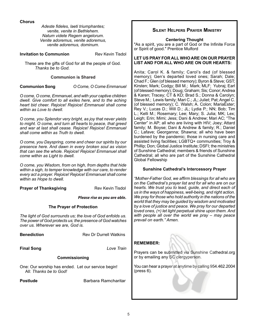**Chorus**

*Adeste fideles, laeti triumphantes; venite, venite in Bethlehem. Natum videte Regem angelorum. Venite adoremus, venite adoremus, venite adoremus, dominum.*

**Invitation to Communion Rev Kevin Tisdol** 

These are the gifts of God for all the people of God. *Thanks be to God.*

**Communion is Shared**

**Communion Song** *O Come, O Come Emmanuel*

*O come, O come, Emmanuel, and with your captive children dwell. Give comfort to all exiles here, and to the aching heart bid cheer. Rejoice! Rejoice! Emmanuel shall come within as Love to dwell.*

*O come, you Splendor very bright, as joy that never yields to might. O come, and turn all hearts to peace, that greed and war at last shall cease. Rejoice! Rejoice! Emmanuel shall come within as Truth to dwell.*

*O come, you Dayspring, come and cheer our spirits by our presence here. And dawn in every broken soul as vision that can see the whole. Rejoice! Rejoice! Emmanuel shall come within as Light to dwell.*

*O come, you Wisdom, from on high, from depths that hide within a sigh, to temper knowledge with our care, to render every act a prayer. Rejoice! Rejoice! Emmanuel shall come within as Hope to dwell.*

**Prayer of Thanksgiving The Rev Kevin Tisdol** 

*Please rise as you are able.*

#### **The Prayer of Protection**

*The light of God surrounds us; the love of God enfolds us. The power of God protects us; the presence of God watches over us. Wherever we are, God is.*

| <b>Benediction</b> | <b>Rev Dr Durrell Watkins</b> |
|--------------------|-------------------------------|
| <b>Final Song</b>  | Love Train                    |
|                    | <b>Commissioning</b>          |
|                    |                               |

One: Our worship has ended. Let our service begin! All: *Thanks be to God!*

**Postlude Barbara Ramcharitar** 

#### **Silent Helpers Prayer Ministry**

**Centering Thought**

"As a spirit, you are a part of God or the Infinite Force or Spirit of good." Prentice Mulford

#### **LET US PRAY FOR ALL WHO ARE ON OUR PRAYER LIST AND FOR ALL WHO ARE ON OUR HEARTS:**

Anita; Carol K. & family; Carol's dad (of blessed memory); Gen's departed loved ones; Sarah; Dale; Chad F.; Glen (of blessed memory); Byron & Steve; GST; Kirsten; Mark; Codgy; Bill M.; Mark; MLF; Yubraj; Earl (of blessed memory); Doug; Graham; Sis; Conor; Andrea & Karen; Tracey; CT & KD; Brad S.; Donna & Carolyn; Steve M.; Lewis family; Mari C.; JL; Juliet; Pat; Angel C. (of blessed memory); C. Walsh; A. Colon; MariaEster; Rey V.; Lucas D.; Will D.; JL; Lydia P.; NN; Bob; Tim L.; Kelli M.; Rosemary; Lee; Mary; S. Julia; MK; Lex; Leigh; Erin; Mimi; Jess; Dani & Andrew; Mari AC; "The Center" in AP; all who are living with HIV; Joey; Attard family; M. Boyse; Dani & Andrew & family; R.; Daniel C.; Lafave; Georganna; Shawna; all who have been burdened by the pandemic; those in nursing care and assisted living facilities; LGBTQ+ communities; Troy & Phillip; Don; Global Justice Institute; DSFI; the ministries of Sunshine Cathedral; members & friends of Sunshine Cathedral; all who are part of the Sunshine Cathedral Global Fellowship

#### **Sunshine Cathedral's Intercessory Prayer**

*"Mother-Father God, we affirm blessings for all who are on the Cathedral's prayer list and for all who are on our hearts. We trust you to lead, guide, and direct each of us in the ways of happiness, well-being, and right action. We pray for those who hold authority in the nations of the world that they may be guided by wisdom and motivated by a love of justice and peace. We pray for our departed loved ones, (+) let light perpetual shine upon them. And with people all over the world we pray – may peace prevail on earth." Amen.*

#### **REMEMBER:**

Prayers can be submitted via Sunshine Cathedral.org or by emailing any SC clergyperson.

You can hear a prayer at anytime by calling 954.462.2004 (press 6).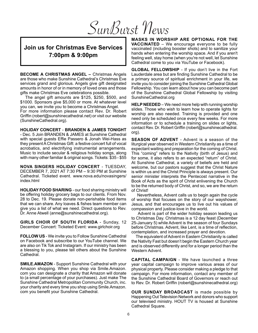# SunBurst News

## **Join us for Christmas Eve Services 7:00pm & 9:00pm**

**BECOME A CHRISTMAS ANGEL –** Christmas Angels are those who make Sunshine Cathedral's Christmas Eve services grand and glorious. Angels give gift designated amounts in honor of or in memory of loved ones and those gifts make Christmas Eve celebrations possible.

The angel gift amounts are \$125, \$250, \$500, and \$1000. Sponsors give \$5,000 or more. At whatever level you can, we invite you to become a Christmas Angel. For more information please contact Rev. Dr. Robert Griffin (robert@sunshinecathedral.net) or visit our website (SunshineCathedral.org).

**HOLIDAY CONCERT** - **BRANDEN & JAMES TONIGHT** - Dec. 5 Join BRANDEN & JAMES at Sunshine Cathedral with special guests Effie Passero & Jonah Wei-Hass as they present A Christmas Gift: a festive concert full of vocal acrobatics, and electrifying instrumental arrangements. Music to include secular & religious holiday songs, along with many other familiar & original songs. Tickets: \$35 - \$55

**NOVA SINGERS HOLIDAY CONCERT** - TUESDAY, DECEMBER 7, 2021 AT 7:30 PM – 9:30 PM at Sunshine Cathedral. Ticketed event. www.nova.edu/novasingers/ index.html

**HOLIDAY FOOD SHARING** - our food sharing ministry will be offering holiday grocery bags to our clients. From Nov. 28 to Dec. 19. Please donate non-perishable food items that we can share. Any loaves & fishes team member can give you a list of what we need. Direct questions to Rev. Dr. Anne Atwell (anne@sunshinecathedral.org).

**GIRLS CHOIR OF SOUTH FLORIDA** - Sunday, 12 December Concert: Ticketed Event: www.girlchoir.org

**FOLLOW US** - We invite you to Follow Sunshine Cathedral on Facebook and subscribe to our YouTube channel. We are also on Tik Tok and Instagram. If our ministry has been a blessing to you, please tell others about the Sunshine Cathedral.

**SMILE.AMAZON** - Support Sunshine Cathedral with your Amazon shopping. When you shop via Smile.Amazon. com you can designate a charity that Amazon will donate to (a small percentage of your purchases). Just make The Sunshine Cathedral Metropolitan Community Church, inc. your charity and every time you shop using Smile.Amazon. com you benefit your Sunshine Cathedral.

**MASKS IN WORSHIP ARE OPTIONAL FOR THE VACCINATED** – We encourage everyone to be fully vaccinated (including booster shots) and to sanitize your hands when entering the worship space. And if you aren't feeling well, stay home (when you're not well, let Sunshine Cathedral come to you via YouTube or Facebook).

**GLOBAL FELLOWSHIP** - If you don't live in the Fort Lauderdale area but are finding Sunshine Cathedral to be a primary source of spiritual enrichment in your life, we invite you to consider joining the Sunshine Cathedral Global Fellowship. You can learn about how you can become part of the Sunshine Cathedral Global Fellowship by visiting SunshineCathedral.org

**HELP NEEDED** – We need more help with running worship slides. Those who wish to learn how to operate lights for worship are also needed. Training is provided and one need only be scheduled once every few weeks. For more information or to schedule a training on slides or lights, contact Rev. Dr. Robert Griffin (robert@sunshinecathedral. org).

**SEASON OF ADVENT** - Advent is a season of the liturgical year observed in Western Christianity as a time of expectant waiting and preparation for the coming of Christ. This "coming" refers to the Nativity (birth of Jesus) and for some, it also refers to an expected "return" of Christ. At Sunshine Cathedral, a variety of beliefs are held and welcome, but our pastors suggest that the Christ Nature is within us and the Christ Principle is always present. Our senior minister interprets the Pentecost narrative in the Book of Acts as the spirit of Christ enlivening the Church to be the returned body of Christ, and so, we are the return of Christ!

 Nevertheless, Advent calls us to begin again the cycle of worship that focuses on the story of our wayshower, Jesus, and that encourages us to live out his values of compassion and justice-love in the world.

 Advent is part of the wider holiday season leading us to Christmas Day. Christmas is a 12 day feast (December 25-January 5) while Advent is the season of four Sundays before Christmas. Advent, like Lent, is a time of reflection, contemplation, and increased prayer and devotion.

 The equivalent of Advent in Eastern Christianity is called the Nativity Fast but doesn't begin the Eastern Church year and is observed differently and for a longer period than the Western Advent.

**CAPITAL CAMPAIGN** - We have launched a three year capital campaign to improve various areas of our physical property. Please consider making a pledge to that campaign. For more information, contact any member of the Sunshine Cathedral Board of Governors or reach out to Rev. Dr. Robert Griffin (robert@sunshinecathedral.org)

**OUR SUNDAY BROADCAST** is made possible by Happening Out Television Network and donors who support our televised ministry. HOUT TV is housed at Sunshine Cathedral Square.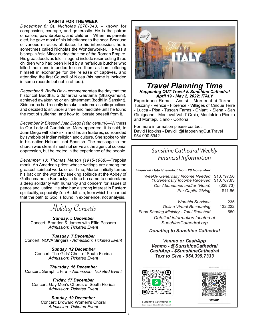#### **SAINTS FOR THE WEEK**

*December 6: St. Nicholas (270-343)* – known for compassion, courage, and generosity. He is the patron of sailors, pawnbrokers, and children. When his parents died, he gave most of his inheritance to the poor. Because of various miracles attributed to his intercession, he is sometimes called Nicholas the Wonderworker. He was a bishop in Asia Minor during the time of the Roman Empire. His great deeds as told in legend include resurrecting three children who had been killed by a nefarious butcher who killed them and intended to cure them as ham, offering himself in exchange for the release of captives, and attending the first Council of Nicea (his name is included in some records but not in others).

*December 8: Bodhi Day* - commemorates the day that the historical Buddha, Siddhartha Gautama (Shakyamuni), achieved awakening or enlightenment (bodhi in Sanskrit). Siddhartha had recently forsaken extreme ascetic practices and decided to sit under a tree and meditate until he found the root of suffering, and how to liberate oneself from it.

*December 9: Blessed Juan Diego (16th century)*—Witness to Our Lady of Guadalupe. Mary appeared, it is said, to Juan Diego with dark skin and Indian features, surrounded by symbols of Indian religion and culture. She spoke to him in his native Nahuatl, not Spanish. The message to the church was clear: it must not serve as the agent of colonial oppression, but be rooted in the experience of the people.

*December 10: Thomas Merton (1915-1968)*—Trappist monk. An American priest whose writings are among the greatest spiritual works of our time, Merton initially turned his back on the world by seeking solitude at the Abbey of Gethsemane in Kentucky. In time he came to understand a deep solidarity with humanity and concern for issues of peace and justice. He also had a strong interest in Eastern spirituality, especially Zen Buddhism, from which he learned that the path to God is found in experience, not analysis.

Holiday Concerts

*Sunday, 5 December* Concert: Branden & James with Effie Passero *Admission: Ticketed Event*

*Tuesday, 7 December* Concert: NOVA Singers - *Admission: Ticketed Event*

*Sunday, 12 December* Concert: The Girls' Choir of South Florida *Admission: Ticketed Event*

*Thursday, 16 December*  Concert: Seraphic Fire - *Admission: Ticketed Event*

*Friday, 17 December* Concert: Gay Men's Chorus of South Florida *Admission: Ticketed Event*

> *Sunday, 19 December* Concert: Broward Women's Choral *Admission: Ticketed Event*



## *Travel Planning Time Happening OUT Travel & Sunshine Cathedral April 19 - May 2, 2022: ITALY*

Experience Rome - Assisi - Montecatini Terme - Tuscany - Venice - Florence - Villages of Cinque Terre - Lucca - Pisa - Tuscan Farms - Chianti - Siena - San Gimignano - Medieval Val d' Orcia, Montalcino Pienza and Montepulciano - Cortona

For more information please contact: David Hopkins - DavidH@HappeningOut.Travel 954.900.5942

## *Sunshine Cathedral Weekly Financial Information*

*Financial Data Snapshot from 28 November*

| <b>Weekly Generosity Income Needed</b><br>10Generosity Income Received | \$10.797.56<br>\$10,767.83 |
|------------------------------------------------------------------------|----------------------------|
| Our Abundance and/or (Need)                                            | (\$28.73)                  |
| Per Capita Giving                                                      | \$11.56                    |
| <b>Worship Services</b>                                                | 235                        |
| <b>Online Virtual Resourcing</b>                                       | 132,222                    |
| Food Sharing Ministry - Total Reached                                  | 550                        |
| Detailed information located at<br>SunshineCathedral.org               |                            |

*Donating to Sunshine Cathedral* 

*Venmo or CashApp Venmo - @SunshineCathedral CashApp - \$SunshineCathedral Text to Give - 954.399.7333*





Sunshine Cathedral **B** Scan to pay \$SunshineCathedral

venmo